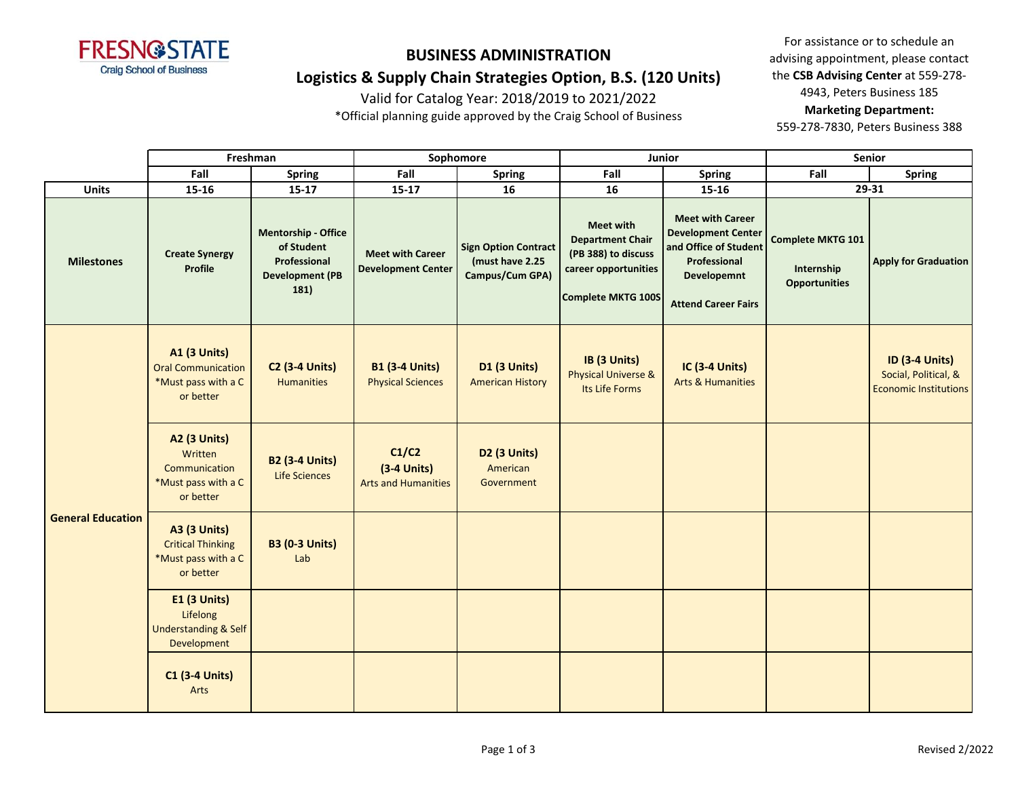

**Logistics & Supply Chain Strategies Option, B.S. (120 Units)**

Valid for Catalog Year: 2018/2019 to 2021/2022

\*Official planning guide approved by the Craig School of Business

For assistance or to schedule an advising appointment, please contact the **CSB Advising Center** at 559-278- 4943, Peters Business 185 **Marketing Department:**  559-278-7830, Peters Business 388

**Fall Spring Fall Spring Fall Spring Fall Spring Units 15-16 15-17 15-17 16 16 15-16 Milestones Create Synergy Profile Mentorship - Office of Student Professional Development (PB 181) Meet with Career Development Center Sign Option Contract (must have 2.25 Campus/Cum GPA) Meet with Department Chair (PB 388) to discuss career opportunities Complete MKTG 100S Meet with Career Development Center and Office of Student Professional Developemnt Attend Career Fairs Complete MKTG 101 Internship Opportunities Apply for Graduation A1 (3 Units)** Oral Communication \*Must pass with a C or better **C2 (3-4 Units)** Humanities **B1 (3-4 Units)** Physical Sciences **D1 (3 Units)** American History **IB (3 Units)** Physical Universe & Its Life Forms **IC (3-4 Units)** Arts & Humanities **ID (3-4 Units)** Social, Political, & Economic Institutions **A2 (3 Units) Written** Communication \*Must pass with a C or better **B2 (3-4 Units)** Life Sciences **C1/C2 (3-4 Units)** Arts and Humanities **D2 (3 Units)** American Government **A3 (3 Units)** Critical Thinking \*Must pass with a C or better **B3 (0-3 Units)** Lab  **E1 (3 Units)** Lifelong Understanding & Self Development **C1 (3-4 Units)** Arts **General Education Freshman Sophomore Junior Senior 29-31**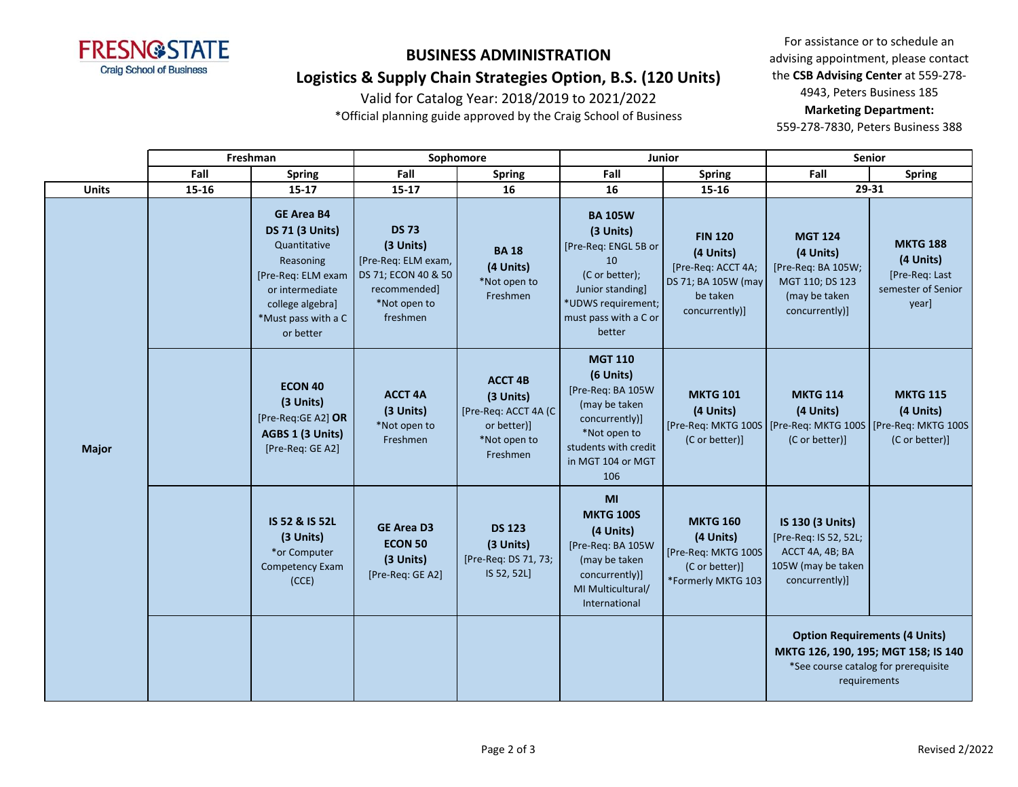

# **BUSINESS ADMINISTRATION Logistics & Supply Chain Strategies Option, B.S. (120 Units)**

Valid for Catalog Year: 2018/2019 to 2021/2022

\*Official planning guide approved by the Craig School of Business

For assistance or to schedule an advising appointment, please contact the **CSB Advising Center** at 559-278- 4943, Peters Business 185 **Marketing Department:** 

559-278-7830, Peters Business 388

|              | Freshman |                                                                                                                                                                           | Sophomore                                                                                                           |                                                                                                | <b>Junior</b>                                                                                                                                            |                                                                                                        | <b>Senior</b>                                                                                                                       |                                                                               |
|--------------|----------|---------------------------------------------------------------------------------------------------------------------------------------------------------------------------|---------------------------------------------------------------------------------------------------------------------|------------------------------------------------------------------------------------------------|----------------------------------------------------------------------------------------------------------------------------------------------------------|--------------------------------------------------------------------------------------------------------|-------------------------------------------------------------------------------------------------------------------------------------|-------------------------------------------------------------------------------|
|              | Fall     | <b>Spring</b>                                                                                                                                                             | Fall                                                                                                                | <b>Spring</b>                                                                                  | Fall                                                                                                                                                     | <b>Spring</b>                                                                                          | Fall                                                                                                                                | <b>Spring</b>                                                                 |
| <b>Units</b> | 15-16    | $15 - 17$                                                                                                                                                                 | $15 - 17$                                                                                                           | 16                                                                                             | 16                                                                                                                                                       | 15-16                                                                                                  | 29-31                                                                                                                               |                                                                               |
| <b>Major</b> |          | <b>GE Area B4</b><br><b>DS 71 (3 Units)</b><br>Quantitative<br>Reasoning<br>[Pre-Req: ELM exam<br>or intermediate<br>college algebra]<br>*Must pass with a C<br>or better | <b>DS 73</b><br>(3 Units)<br>[Pre-Req: ELM exam,<br>DS 71; ECON 40 & 50<br>recommended]<br>*Not open to<br>freshmen | <b>BA18</b><br>(4 Units)<br>*Not open to<br>Freshmen                                           | <b>BA 105W</b><br>(3 Units)<br>[Pre-Req: ENGL 5B or<br>10<br>(C or better);<br>Junior standing]<br>*UDWS requirement;<br>must pass with a C or<br>better | <b>FIN 120</b><br>(4 Units)<br>[Pre-Req: ACCT 4A;<br>DS 71; BA 105W (may<br>be taken<br>concurrently)] | <b>MGT 124</b><br>(4 Units)<br>[Pre-Req: BA 105W;<br>MGT 110; DS 123<br>(may be taken<br>concurrently)]                             | <b>MKTG 188</b><br>(4 Units)<br>[Pre-Req: Last<br>semester of Senior<br>year] |
|              |          | <b>ECON 40</b><br>(3 Units)<br>[Pre-Req:GE A2] OR<br>AGBS 1 (3 Units)<br>[Pre-Req: GE A2]                                                                                 | <b>ACCT 4A</b><br>(3 Units)<br>*Not open to<br>Freshmen                                                             | <b>ACCT 4B</b><br>(3 Units)<br>[Pre-Req: ACCT 4A (C<br>or better)]<br>*Not open to<br>Freshmen | <b>MGT 110</b><br>(6 Units)<br>[Pre-Req: BA 105W<br>(may be taken<br>concurrently)]<br>*Not open to<br>students with credit<br>in MGT 104 or MGT<br>106  | <b>MKTG 101</b><br>(4 Units)<br>(C or better)]                                                         | <b>MKTG 114</b><br>(4 Units)<br>[Pre-Req: MKTG 100S   [Pre-Req: MKTG 100S   [Pre-Req: MKTG 100S<br>(C or better)]                   | <b>MKTG 115</b><br>(4 Units)<br>(C or better)]                                |
|              |          | IS 52 & IS 52L<br>(3 Units)<br>*or Computer<br>Competency Exam<br>(CCE)                                                                                                   | <b>GE Area D3</b><br><b>ECON 50</b><br>(3 Units)<br>[Pre-Req: GE A2]                                                | <b>DS 123</b><br>(3 Units)<br>[Pre-Req: DS 71, 73;<br>IS 52, 52L]                              | MI<br><b>MKTG 100S</b><br>(4 Units)<br>[Pre-Req: BA 105W<br>(may be taken<br>concurrently)]<br>MI Multicultural/<br>International                        | <b>MKTG 160</b><br>(4 Units)<br>[Pre-Req: MKTG 100S<br>(C or better)]<br>*Formerly MKTG 103            | IS 130 (3 Units)<br>[Pre-Req: IS 52, 52L;<br>ACCT 4A, 4B; BA<br>105W (may be taken<br>concurrently)]                                |                                                                               |
|              |          |                                                                                                                                                                           |                                                                                                                     |                                                                                                |                                                                                                                                                          |                                                                                                        | <b>Option Requirements (4 Units)</b><br>MKTG 126, 190, 195; MGT 158; IS 140<br>*See course catalog for prerequisite<br>requirements |                                                                               |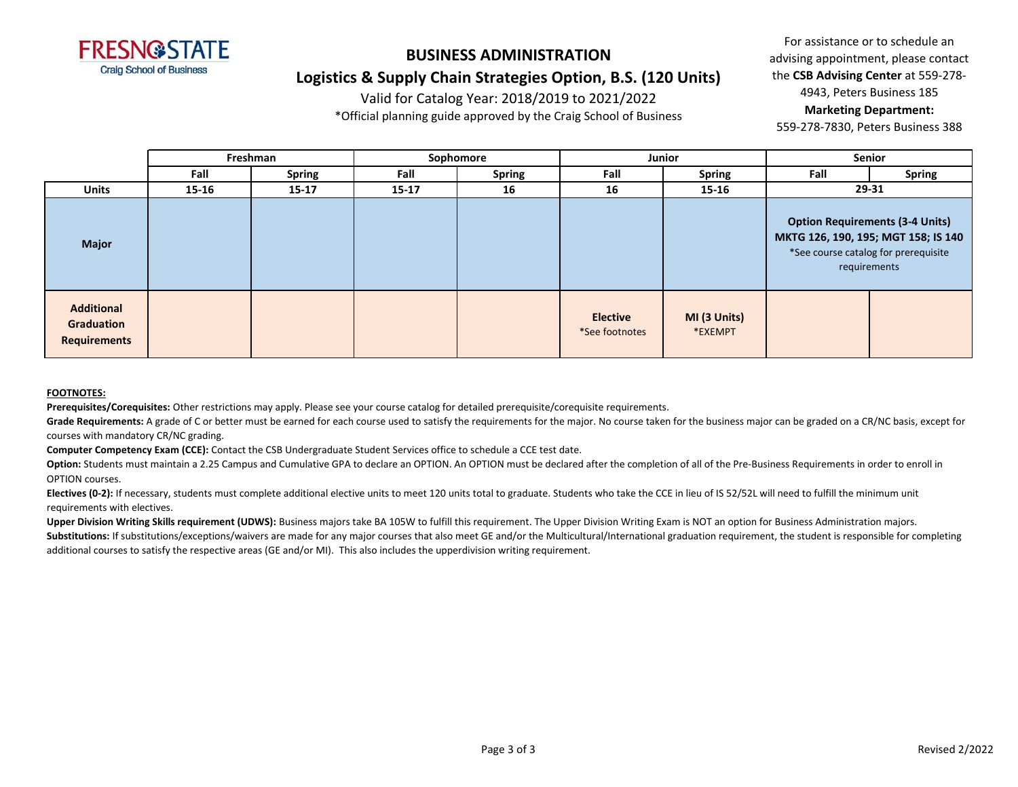

# **BUSINESS ADMINISTRATION Logistics & Supply Chain Strategies Option, B.S. (120 Units)**

Valid for Catalog Year: 2018/2019 to 2021/2022

\*Official planning guide approved by the Craig School of Business

For assistance or to schedule an advising appointment, please contact the **CSB Advising Center** at 559-278- 4943, Peters Business 185 **Marketing Department:** 

559-278-7830, Peters Business 388

|                                                               | Freshman |               | Sophomore |               | Junior                            |                         | Senior                                                                                                                                |               |
|---------------------------------------------------------------|----------|---------------|-----------|---------------|-----------------------------------|-------------------------|---------------------------------------------------------------------------------------------------------------------------------------|---------------|
|                                                               | Fall     | <b>Spring</b> | Fall      | <b>Spring</b> | Fall                              | <b>Spring</b>           | Fall                                                                                                                                  | <b>Spring</b> |
| <b>Units</b>                                                  | 15-16    | $15 - 17$     | $15 - 17$ | 16            | 16                                | 15-16                   | 29-31                                                                                                                                 |               |
| <b>Major</b>                                                  |          |               |           |               |                                   |                         | <b>Option Requirements (3-4 Units)</b><br>MKTG 126, 190, 195; MGT 158; IS 140<br>*See course catalog for prerequisite<br>requirements |               |
| <b>Additional</b><br><b>Graduation</b><br><b>Requirements</b> |          |               |           |               | <b>Elective</b><br>*See footnotes | MI (3 Units)<br>*EXEMPT |                                                                                                                                       |               |

#### **FOOTNOTES:**

**Prerequisites/Corequisites:** Other restrictions may apply. Please see your course catalog for detailed prerequisite/corequisite requirements.

Grade Requirements: A grade of C or better must be earned for each course used to satisfy the requirements for the major. No course taken for the business major can be graded on a CR/NC basis, except for courses with mandatory CR/NC grading.

**Computer Competency Exam (CCE):** Contact the CSB Undergraduate Student Services office to schedule a CCE test date.

Option: Students must maintain a 2.25 Campus and Cumulative GPA to declare an OPTION. An OPTION must be declared after the completion of all of the Pre-Business Requirements in order to enroll in OPTION courses.

Electives (0-2): If necessary, students must complete additional elective units to meet 120 units total to graduate. Students who take the CCE in lieu of IS 52/52L will need to fulfill the minimum unit requirements with electives.

**Upper Division Writing Skills requirement (UDWS):** Business majors take BA 105W to fulfill this requirement. The Upper Division Writing Exam is NOT an option for Business Administration majors. Substitutions: If substitutions/exceptions/waivers are made for any major courses that also meet GE and/or the Multicultural/International graduation requirement, the student is responsible for completing additional courses to satisfy the respective areas (GE and/or MI). This also includes the upperdivision writing requirement.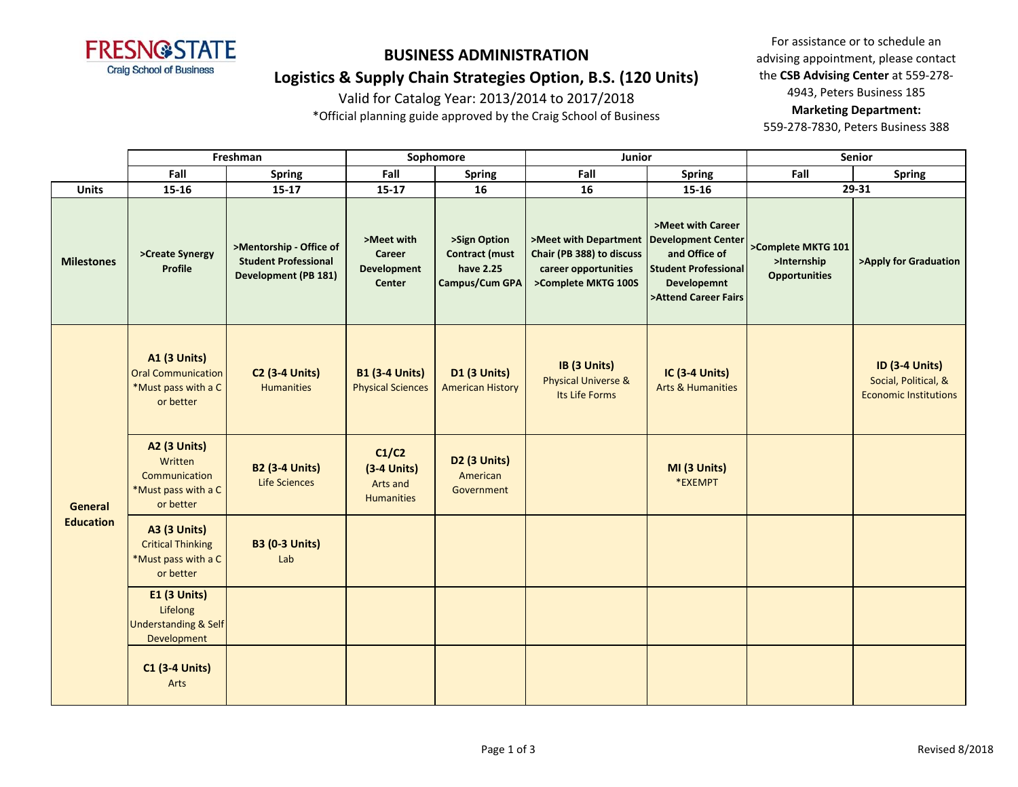

**Logistics & Supply Chain Strategies Option, B.S. (120 Units)**

Valid for Catalog Year: 2013/2014 to 2017/2018

\*Official planning guide approved by the Craig School of Business

For assistance or to schedule an advising appointment, please contact the **CSB Advising Center** at 559-278- 4943, Peters Business 185 **Marketing Department:**  559-278-7830, Peters Business 388

|                                    | Freshman                                                                             |                                                                                       | Sophomore                                                          |                                                                      | Junior                                                                                            |                                                                                                                                              | <b>Senior</b>                                             |                                                                               |
|------------------------------------|--------------------------------------------------------------------------------------|---------------------------------------------------------------------------------------|--------------------------------------------------------------------|----------------------------------------------------------------------|---------------------------------------------------------------------------------------------------|----------------------------------------------------------------------------------------------------------------------------------------------|-----------------------------------------------------------|-------------------------------------------------------------------------------|
|                                    | Fall                                                                                 | <b>Spring</b>                                                                         | Fall                                                               | <b>Spring</b>                                                        | Fall                                                                                              | <b>Spring</b>                                                                                                                                | Fall                                                      | <b>Spring</b>                                                                 |
| <b>Units</b>                       | $15 - 16$                                                                            | $15 - 17$                                                                             | $15 - 17$                                                          | 16                                                                   | 16                                                                                                | 15-16                                                                                                                                        |                                                           | 29-31                                                                         |
| <b>Milestones</b>                  | >Create Synergy<br><b>Profile</b>                                                    | >Mentorship - Office of<br><b>Student Professional</b><br><b>Development (PB 181)</b> | >Meet with<br><b>Career</b><br><b>Development</b><br><b>Center</b> | >Sign Option<br><b>Contract (must</b><br>have 2.25<br>Campus/Cum GPA | >Meet with Department<br>Chair (PB 388) to discuss<br>career opportunities<br>>Complete MKTG 100S | >Meet with Career<br><b>Development Center</b><br>and Office of<br><b>Student Professional</b><br><b>Developemnt</b><br>>Attend Career Fairs | >Complete MKTG 101<br>>Internship<br><b>Opportunities</b> | >Apply for Graduation                                                         |
| <b>General</b><br><b>Education</b> | <b>A1 (3 Units)</b><br><b>Oral Communication</b><br>*Must pass with a C<br>or better | <b>C2 (3-4 Units)</b><br><b>Humanities</b>                                            | <b>B1 (3-4 Units)</b><br><b>Physical Sciences</b>                  | <b>D1 (3 Units)</b><br><b>American History</b>                       | IB (3 Units)<br><b>Physical Universe &amp;</b><br>Its Life Forms                                  | <b>IC (3-4 Units)</b><br><b>Arts &amp; Humanities</b>                                                                                        |                                                           | <b>ID (3-4 Units)</b><br>Social, Political, &<br><b>Economic Institutions</b> |
|                                    | <b>A2 (3 Units)</b><br>Written<br>Communication<br>*Must pass with a C<br>or better  | <b>B2 (3-4 Units)</b><br>Life Sciences                                                | C1/C2<br>$(3-4$ Units)<br>Arts and<br><b>Humanities</b>            | D2 (3 Units)<br>American<br>Government                               |                                                                                                   | MI (3 Units)<br>*EXEMPT                                                                                                                      |                                                           |                                                                               |
|                                    | <b>A3 (3 Units)</b><br><b>Critical Thinking</b><br>*Must pass with a C<br>or better  | <b>B3 (0-3 Units)</b><br>Lab                                                          |                                                                    |                                                                      |                                                                                                   |                                                                                                                                              |                                                           |                                                                               |
|                                    | <b>E1 (3 Units)</b><br>Lifelong<br><b>Understanding &amp; Self</b><br>Development    |                                                                                       |                                                                    |                                                                      |                                                                                                   |                                                                                                                                              |                                                           |                                                                               |
|                                    | <b>C1 (3-4 Units)</b><br>Arts                                                        |                                                                                       |                                                                    |                                                                      |                                                                                                   |                                                                                                                                              |                                                           |                                                                               |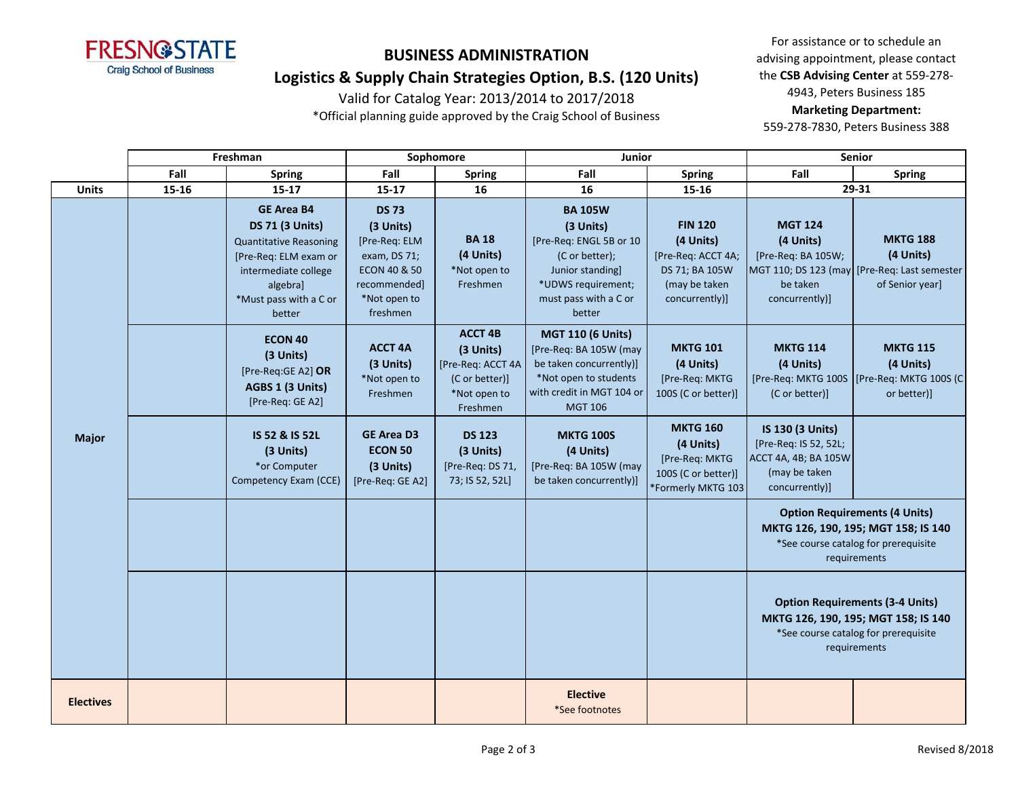

## **Logistics & Supply Chain Strategies Option, B.S. (120 Units)**

Valid for Catalog Year: 2013/2014 to 2017/2018

\*Official planning guide approved by the Craig School of Business

For assistance or to schedule an advising appointment, please contact the **CSB Advising Center** at 559-278- 4943, Peters Business 185 **Marketing Department:**  559-278-7830, Peters Business 388

|                  | Freshman |                                                                                                                                                                               | Sophomore                                                                                                                         |                                                                                                | Junior                                                                                                                                                |                                                                                                        | <b>Senior</b>                                                                                                                         |                                                                                                                                     |
|------------------|----------|-------------------------------------------------------------------------------------------------------------------------------------------------------------------------------|-----------------------------------------------------------------------------------------------------------------------------------|------------------------------------------------------------------------------------------------|-------------------------------------------------------------------------------------------------------------------------------------------------------|--------------------------------------------------------------------------------------------------------|---------------------------------------------------------------------------------------------------------------------------------------|-------------------------------------------------------------------------------------------------------------------------------------|
|                  | Fall     | <b>Spring</b>                                                                                                                                                                 | Fall                                                                                                                              | <b>Spring</b>                                                                                  | Fall                                                                                                                                                  | <b>Spring</b>                                                                                          | Fall                                                                                                                                  | <b>Spring</b>                                                                                                                       |
| <b>Units</b>     | 15-16    | $15 - 17$                                                                                                                                                                     | $15 - 17$                                                                                                                         | 16                                                                                             | 16                                                                                                                                                    | 15-16                                                                                                  |                                                                                                                                       | 29-31                                                                                                                               |
|                  |          | <b>GE Area B4</b><br><b>DS 71 (3 Units)</b><br><b>Quantitative Reasoning</b><br>[Pre-Req: ELM exam or<br>intermediate college<br>algebra]<br>*Must pass with a C or<br>better | <b>DS 73</b><br>(3 Units)<br>[Pre-Req: ELM<br>exam, DS 71;<br><b>ECON 40 &amp; 50</b><br>recommended]<br>*Not open to<br>freshmen | <b>BA18</b><br>(4 Units)<br>*Not open to<br>Freshmen                                           | <b>BA 105W</b><br>(3 Units)<br>[Pre-Req: ENGL 5B or 10<br>(C or better);<br>Junior standing]<br>*UDWS requirement;<br>must pass with a C or<br>better | <b>FIN 120</b><br>(4 Units)<br>[Pre-Req: ACCT 4A;<br>DS 71; BA 105W<br>(may be taken<br>concurrently)] | <b>MGT 124</b><br>(4 Units)<br>[Pre-Req: BA 105W;<br>be taken<br>concurrently)]                                                       | <b>MKTG 188</b><br>(4 Units)<br>MGT 110; DS 123 (may [Pre-Req: Last semester<br>of Senior year]                                     |
|                  |          | <b>ECON 40</b><br>(3 Units)<br>[Pre-Req:GE A2] OR<br>AGBS 1 (3 Units)<br>[Pre-Req: GE A2]                                                                                     | <b>ACCT 4A</b><br>(3 Units)<br>*Not open to<br>Freshmen                                                                           | <b>ACCT 4B</b><br>(3 Units)<br>[Pre-Req: ACCT 4A<br>(C or better)]<br>*Not open to<br>Freshmen | <b>MGT 110 (6 Units)</b><br>[Pre-Req: BA 105W (may<br>be taken concurrently)]<br>*Not open to students<br>with credit in MGT 104 or<br><b>MGT 106</b> | <b>MKTG 101</b><br>(4 Units)<br>[Pre-Req: MKTG<br>100S (C or better)]                                  | <b>MKTG 114</b><br>(4 Units)<br>[Pre-Req: MKTG 100S<br>(C or better)]                                                                 | <b>MKTG 115</b><br>(4 Units)<br>[Pre-Req: MKTG 100S (C<br>or better)]                                                               |
| <b>Major</b>     |          | IS 52 & IS 52L<br>(3 Units)<br>*or Computer<br>Competency Exam (CCE)                                                                                                          | <b>GE Area D3</b><br><b>ECON 50</b><br>(3 Units)<br>[Pre-Req: GE A2]                                                              | <b>DS 123</b><br>(3 Units)<br>[Pre-Req: DS 71,<br>73; IS 52, 52L]                              | <b>MKTG 100S</b><br>(4 Units)<br>[Pre-Req: BA 105W (may<br>be taken concurrently)]                                                                    | <b>MKTG 160</b><br>(4 Units)<br>[Pre-Reg: MKTG<br>100S (C or better)]<br>*Formerly MKTG 103            | IS 130 (3 Units)<br>[Pre-Req: IS 52, 52L;<br>ACCT 4A, 4B; BA 105W<br>(may be taken<br>concurrently)]                                  |                                                                                                                                     |
|                  |          |                                                                                                                                                                               |                                                                                                                                   |                                                                                                |                                                                                                                                                       |                                                                                                        |                                                                                                                                       | <b>Option Requirements (4 Units)</b><br>MKTG 126, 190, 195; MGT 158; IS 140<br>*See course catalog for prerequisite<br>requirements |
|                  |          |                                                                                                                                                                               |                                                                                                                                   |                                                                                                |                                                                                                                                                       |                                                                                                        | <b>Option Requirements (3-4 Units)</b><br>MKTG 126, 190, 195; MGT 158; IS 140<br>*See course catalog for prerequisite<br>requirements |                                                                                                                                     |
| <b>Electives</b> |          |                                                                                                                                                                               |                                                                                                                                   |                                                                                                | <b>Elective</b><br>*See footnotes                                                                                                                     |                                                                                                        |                                                                                                                                       |                                                                                                                                     |